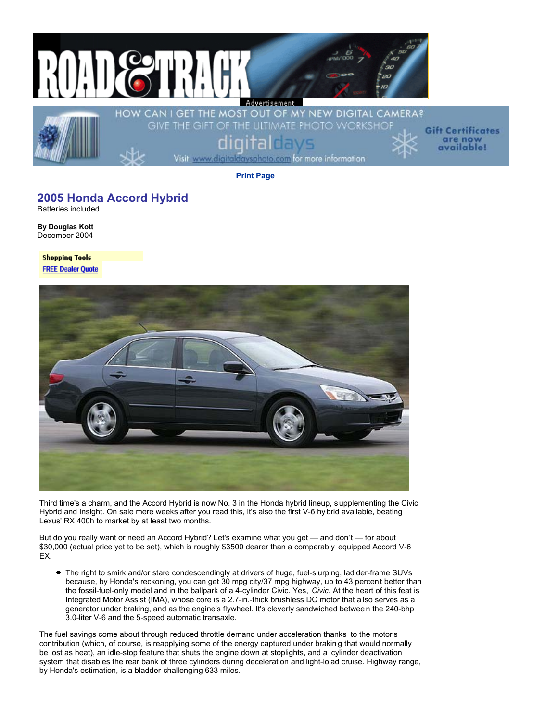

**Gift Certificates** are now<br>available!

**Print Page**

## **2005 Honda Accord Hybrid**

Batteries included.

**By Douglas Kott** December 2004

**Shopping Tools FREE Dealer Quote** 



Third time's a charm, and the Accord Hybrid is now No. 3 in the Honda hybrid lineup, s upplementing the Civic Hybrid and Insight. On sale mere weeks after you read this, it's also the first V-6 hybrid available, beating Lexus' RX 400h to market by at least two months.

But do you really want or need an Accord Hybrid? Let's examine what you get — and don't — for about \$30,000 (actual price yet to be set), which is roughly \$3500 dearer than a comparably equipped Accord V-6 EX.

The right to smirk and/or stare condescendingly at drivers of huge, fuel-slurping, lad der-frame SUVs because, by Honda's reckoning, you can get 30 mpg city/37 mpg highway, up to 43 percent better than the fossil-fuel-only model and in the ballpark of a 4-cylinder Civic. Yes, *Civic.* At the heart of this feat is Integrated Motor Assist (IMA), whose core is a 2.7-in.-thick brushless DC motor that a lso serves as a generator under braking, and as the engine's flywheel. It's cleverly sandwiched betwee n the 240-bhp 3.0-liter V-6 and the 5-speed automatic transaxle.

The fuel savings come about through reduced throttle demand under acceleration thanks to the motor's contribution (which, of course, is reapplying some of the energy captured under brakin g that would normally be lost as heat), an idle-stop feature that shuts the engine down at stoplights, and a cylinder deactivation system that disables the rear bank of three cylinders during deceleration and light-lo ad cruise. Highway range, by Honda's estimation, is a bladder-challenging 633 miles.